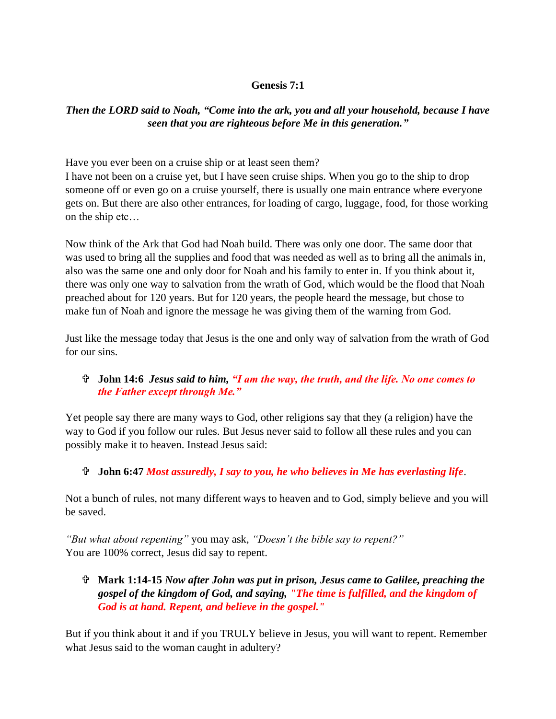### **Genesis 7:1**

# *Then the LORD said to Noah, "Come into the ark, you and all your household, because I have seen that you are righteous before Me in this generation."*

Have you ever been on a cruise ship or at least seen them?

I have not been on a cruise yet, but I have seen cruise ships. When you go to the ship to drop someone off or even go on a cruise yourself, there is usually one main entrance where everyone gets on. But there are also other entrances, for loading of cargo, luggage, food, for those working on the ship etc…

Now think of the Ark that God had Noah build. There was only one door. The same door that was used to bring all the supplies and food that was needed as well as to bring all the animals in, also was the same one and only door for Noah and his family to enter in. If you think about it, there was only one way to salvation from the wrath of God, which would be the flood that Noah preached about for 120 years. But for 120 years, the people heard the message, but chose to make fun of Noah and ignore the message he was giving them of the warning from God.

Just like the message today that Jesus is the one and only way of salvation from the wrath of God for our sins.

# **John 14:6** *Jesus said to him, "I am the way, the truth, and the life. No one comes to the Father except through Me."*

Yet people say there are many ways to God, other religions say that they (a religion) have the way to God if you follow our rules. But Jesus never said to follow all these rules and you can possibly make it to heaven. Instead Jesus said:

### **John 6:47** *Most assuredly, I say to you, he who believes in Me has everlasting life*.

Not a bunch of rules, not many different ways to heaven and to God, simply believe and you will be saved.

*"But what about repenting"* you may ask, *"Doesn't the bible say to repent?"* You are 100% correct, Jesus did say to repent.

## **Mark 1:14-15** *Now after John was put in prison, Jesus came to Galilee, preaching the gospel of the kingdom of God, and saying, "The time is fulfilled, and the kingdom of God is at hand. Repent, and believe in the gospel."*

But if you think about it and if you TRULY believe in Jesus, you will want to repent. Remember what Jesus said to the woman caught in adultery?